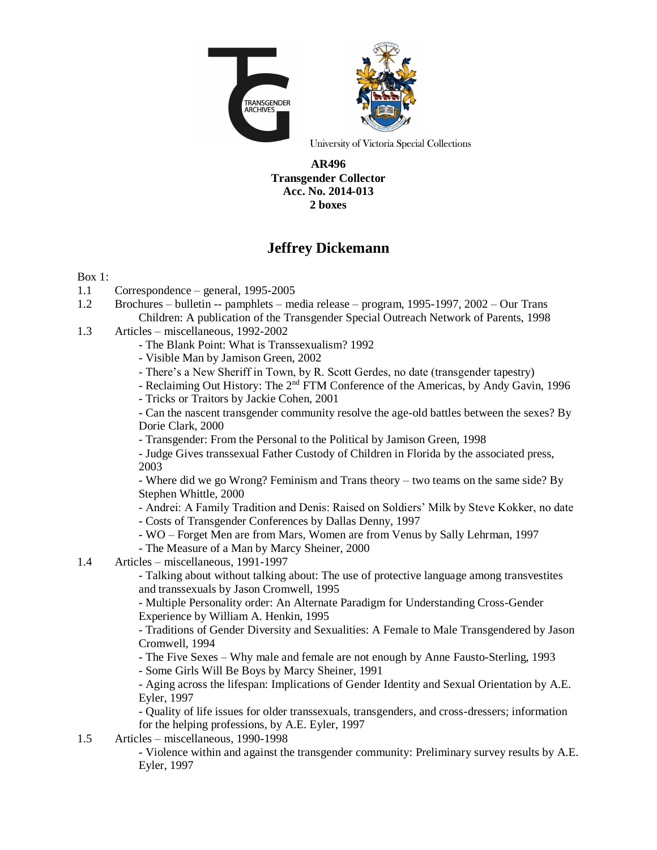

University of Victoria Special Collections

#### **AR496 Transgender Collector Acc. No. 2014-013 2 boxes**

# **Jeffrey Dickemann**

### Box 1:

- 1.1 Correspondence general, 1995-2005
- 1.2 Brochures bulletin -- pamphlets media release program, 1995-1997, 2002 Our Trans Children: A publication of the Transgender Special Outreach Network of Parents, 1998
- 1.3 Articles miscellaneous, 1992-2002
	- The Blank Point: What is Transsexualism? 1992
	- Visible Man by Jamison Green, 2002
	- There's a New Sheriff in Town, by R. Scott Gerdes, no date (transgender tapestry)
	- Reclaiming Out History: The 2<sup>nd</sup> FTM Conference of the Americas, by Andy Gavin, 1996
	- Tricks or Traitors by Jackie Cohen, 2001

- Can the nascent transgender community resolve the age-old battles between the sexes? By Dorie Clark, 2000

- Transgender: From the Personal to the Political by Jamison Green, 1998

- Judge Gives transsexual Father Custody of Children in Florida by the associated press, 2003

- Where did we go Wrong? Feminism and Trans theory – two teams on the same side? By Stephen Whittle, 2000

- Andrei: A Family Tradition and Denis: Raised on Soldiers' Milk by Steve Kokker, no date

- Costs of Transgender Conferences by Dallas Denny, 1997
- WO Forget Men are from Mars, Women are from Venus by Sally Lehrman, 1997
- The Measure of a Man by Marcy Sheiner, 2000
- 1.4 Articles miscellaneous, 1991-1997

- Talking about without talking about: The use of protective language among transvestites and transsexuals by Jason Cromwell, 1995

- Multiple Personality order: An Alternate Paradigm for Understanding Cross-Gender Experience by William A. Henkin, 1995

- Traditions of Gender Diversity and Sexualities: A Female to Male Transgendered by Jason Cromwell, 1994

- The Five Sexes – Why male and female are not enough by Anne Fausto-Sterling, 1993

- Some Girls Will Be Boys by Marcy Sheiner, 1991

- Aging across the lifespan: Implications of Gender Identity and Sexual Orientation by A.E. Eyler, 1997

- Quality of life issues for older transsexuals, transgenders, and cross-dressers; information for the helping professions, by A.E. Eyler, 1997

1.5 Articles – miscellaneous, 1990-1998

- Violence within and against the transgender community: Preliminary survey results by A.E. Eyler, 1997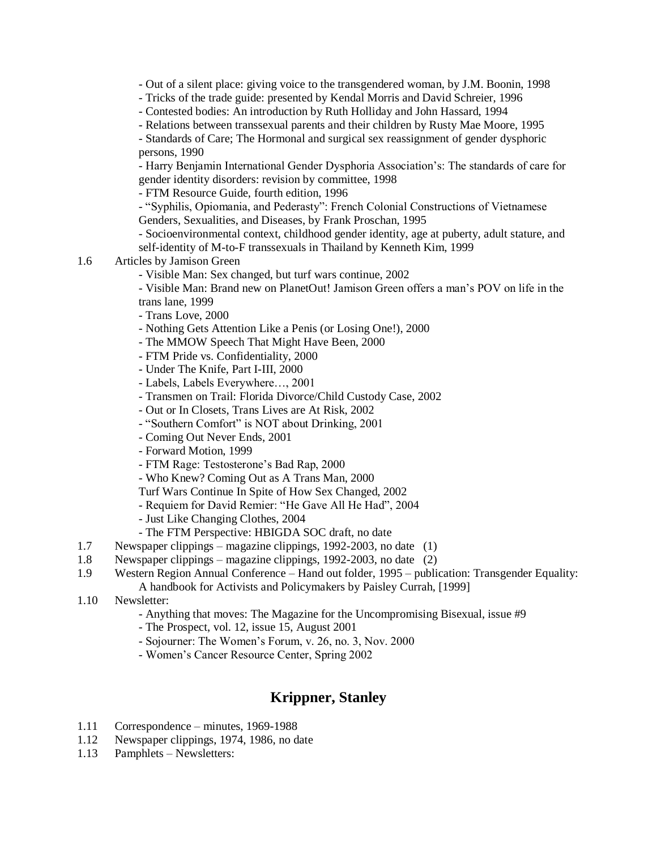- Out of a silent place: giving voice to the transgendered woman, by J.M. Boonin, 1998

- Tricks of the trade guide: presented by Kendal Morris and David Schreier, 1996
- Contested bodies: An introduction by Ruth Holliday and John Hassard, 1994
- Relations between transsexual parents and their children by Rusty Mae Moore, 1995

- Standards of Care; The Hormonal and surgical sex reassignment of gender dysphoric persons, 1990

- Harry Benjamin International Gender Dysphoria Association's: The standards of care for gender identity disorders: revision by committee, 1998

- FTM Resource Guide, fourth edition, 1996

- "Syphilis, Opiomania, and Pederasty": French Colonial Constructions of Vietnamese Genders, Sexualities, and Diseases, by Frank Proschan, 1995

- Socioenvironmental context, childhood gender identity, age at puberty, adult stature, and self-identity of M-to-F transsexuals in Thailand by Kenneth Kim, 1999

### 1.6 Articles by Jamison Green

- Visible Man: Sex changed, but turf wars continue, 2002

- Visible Man: Brand new on PlanetOut! Jamison Green offers a man's POV on life in the trans lane, 1999

- Trans Love, 2000
- Nothing Gets Attention Like a Penis (or Losing One!), 2000
- The MMOW Speech That Might Have Been, 2000
- FTM Pride vs. Confidentiality, 2000
- Under The Knife, Part I-III, 2000
- Labels, Labels Everywhere…, 2001
- Transmen on Trail: Florida Divorce/Child Custody Case, 2002
- Out or In Closets, Trans Lives are At Risk, 2002
- "Southern Comfort" is NOT about Drinking, 2001
- Coming Out Never Ends, 2001
- Forward Motion, 1999
- FTM Rage: Testosterone's Bad Rap, 2000
- Who Knew? Coming Out as A Trans Man, 2000
- Turf Wars Continue In Spite of How Sex Changed, 2002
- Requiem for David Remier: "He Gave All He Had", 2004
- Just Like Changing Clothes, 2004
- The FTM Perspective: HBIGDA SOC draft, no date
- 1.7 Newspaper clippings magazine clippings, 1992-2003, no date (1)
- 1.8 Newspaper clippings magazine clippings, 1992-2003, no date (2)
- 1.9 Western Region Annual Conference Hand out folder, 1995 publication: Transgender Equality: A handbook for Activists and Policymakers by Paisley Currah, [1999]
- 1.10 Newsletter:
	- Anything that moves: The Magazine for the Uncompromising Bisexual, issue #9
	- The Prospect, vol. 12, issue 15, August 2001
	- Sojourner: The Women's Forum, v. 26, no. 3, Nov. 2000
	- Women's Cancer Resource Center, Spring 2002

# **Krippner, Stanley**

- 1.11 Correspondence minutes, 1969-1988
- 1.12 Newspaper clippings, 1974, 1986, no date
- 1.13 Pamphlets Newsletters: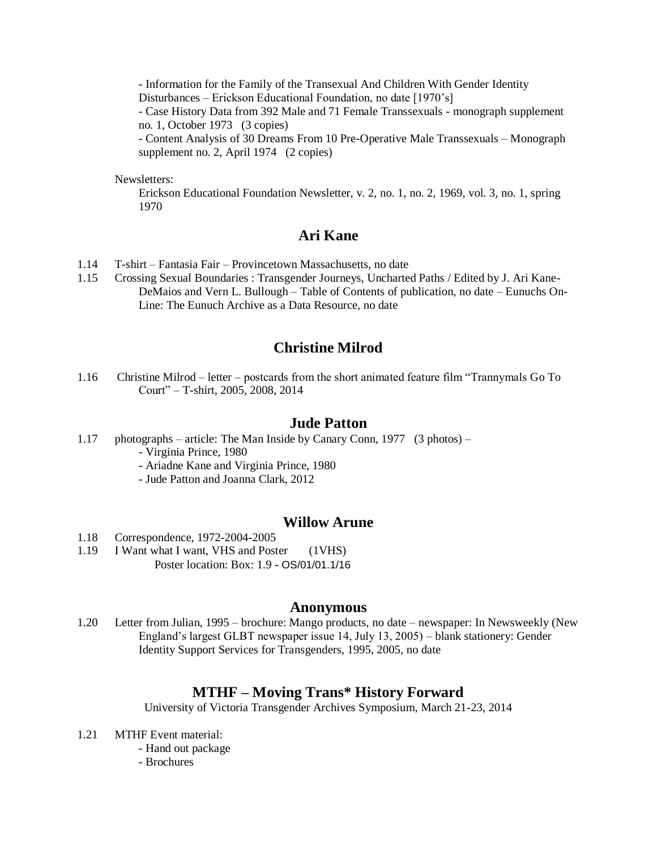- Information for the Family of the Transexual And Children With Gender Identity Disturbances – Erickson Educational Foundation, no date [1970's]

- Case History Data from 392 Male and 71 Female Transsexuals - monograph supplement no. 1, October 1973 (3 copies)

- Content Analysis of 30 Dreams From 10 Pre-Operative Male Transsexuals – Monograph supplement no. 2, April 1974 (2 copies)

Newsletters:

Erickson Educational Foundation Newsletter, v. 2, no. 1, no. 2, 1969, vol. 3, no. 1, spring 1970

# **Ari Kane**

- 1.14 T-shirt Fantasia Fair Provincetown Massachusetts, no date
- 1.15 Crossing Sexual Boundaries : Transgender Journeys, Uncharted Paths / Edited by J. Ari Kane-DeMaios and Vern L. Bullough – Table of Contents of publication, no date – Eunuchs On-Line: The Eunuch Archive as a Data Resource, no date

# **Christine Milrod**

1.16 Christine Milrod – letter – postcards from the short animated feature film "Trannymals Go To Court" – T-shirt, 2005, 2008, 2014

### **Jude Patton**

- 1.17 photographs article: The Man Inside by Canary Conn, 1977 (3 photos)
	- Virginia Prince, 1980
	- Ariadne Kane and Virginia Prince, 1980
	- Jude Patton and Joanna Clark, 2012

#### **Willow Arune**

- 1.18 Correspondence, 1972-2004-2005
- 1.19 I Want what I want, VHS and Poster (1VHS) Poster location: Box: 1.9 - OS/01/01.1/16

#### **Anonymous**

1.20 Letter from Julian, 1995 – brochure: Mango products, no date – newspaper: In Newsweekly (New England's largest GLBT newspaper issue 14, July 13, 2005) – blank stationery: Gender Identity Support Services for Transgenders, 1995, 2005, no date

### **MTHF – Moving Trans\* History Forward**

University of Victoria Transgender Archives Symposium, March 21-23, 2014

- 1.21 MTHF Event material:
	- Hand out package
	- Brochures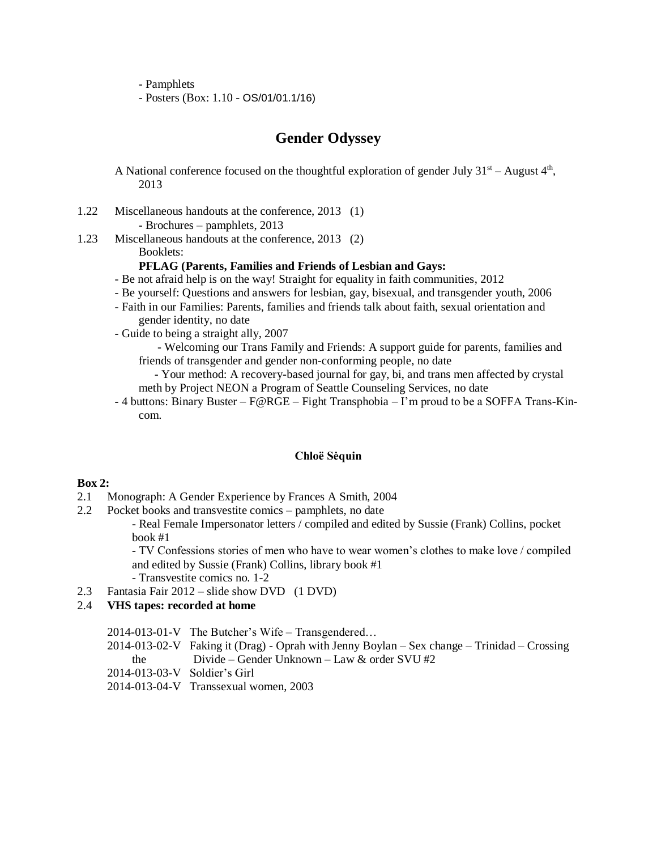- Pamphlets

- Posters (Box: 1.10 - OS/01/01.1/16)

# **Gender Odyssey**

A National conference focused on the thoughtful exploration of gender July  $31<sup>st</sup> -$  August  $4<sup>th</sup>$ , 2013

- 1.22 Miscellaneous handouts at the conference, 2013 (1) - Brochures – pamphlets, 2013
- 1.23 Miscellaneous handouts at the conference, 2013 (2) Booklets:

#### **PFLAG (Parents, Families and Friends of Lesbian and Gays:**

- Be not afraid help is on the way! Straight for equality in faith communities, 2012
- Be yourself: Questions and answers for lesbian, gay, bisexual, and transgender youth, 2006
- Faith in our Families: Parents, families and friends talk about faith, sexual orientation and gender identity, no date
- Guide to being a straight ally, 2007

- Welcoming our Trans Family and Friends: A support guide for parents, families and friends of transgender and gender non-conforming people, no date

- Your method: A recovery-based journal for gay, bi, and trans men affected by crystal meth by Project NEON a Program of Seattle Counseling Services, no date

- 4 buttons: Binary Buster – F@RGE – Fight Transphobia – I'm proud to be a SOFFA Trans-Kincom.

#### **Chloë Sėquin**

#### **Box 2:**

- 2.1 Monograph: A Gender Experience by Frances A Smith, 2004
- 2.2 Pocket books and transvestite comics pamphlets, no date

- Real Female Impersonator letters / compiled and edited by Sussie (Frank) Collins, pocket book #1

- TV Confessions stories of men who have to wear women's clothes to make love / compiled and edited by Sussie (Frank) Collins, library book #1

- Transvestite comics no. 1-2

2.3 Fantasia Fair 2012 – slide show DVD (1 DVD)

#### 2.4 **VHS tapes: recorded at home**

2014-013-01-V The Butcher's Wife – Transgendered…

- 2014-013-02-V Faking it (Drag) Oprah with Jenny Boylan Sex change Trinidad Crossing the Divide – Gender Unknown – Law & order SVU #2
- 2014-013-03-V Soldier's Girl
- 2014-013-04-V Transsexual women, 2003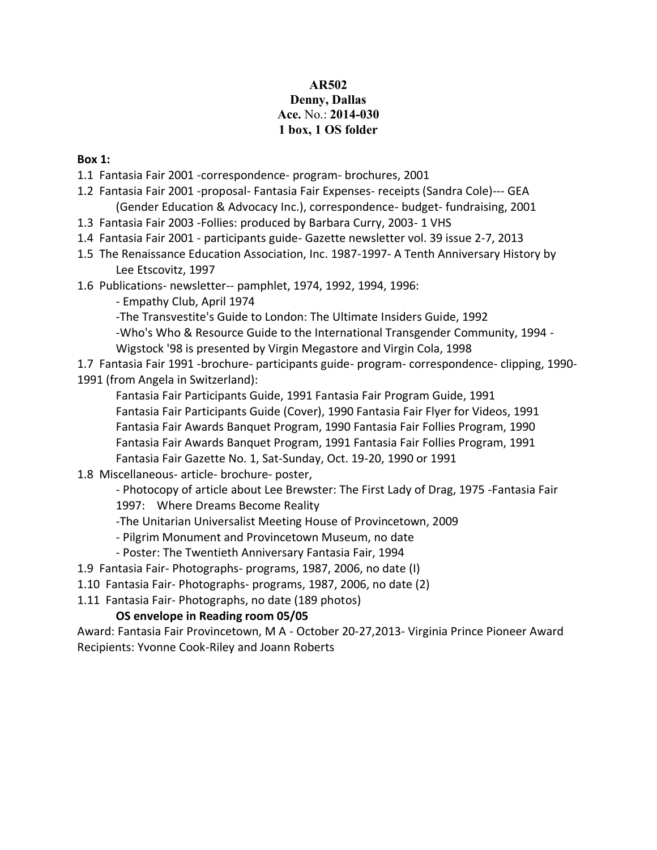# **AR502 Denny, Dallas Ace.** No.: **2014-030 1 box, 1 OS folder**

### **Box 1:**

- 1.1 Fantasia Fair 2001 -correspondence- program- brochures, 2001
- 1.2 Fantasia Fair 2001 -proposal- Fantasia Fair Expenses- receipts (Sandra Cole)--- GEA (Gender Education & Advocacy Inc.), correspondence- budget- fundraising, 2001
- 1.3 Fantasia Fair 2003 -Follies: produced by Barbara Curry, 2003- 1 VHS
- 1.4 Fantasia Fair 2001 participants guide- Gazette newsletter vol. 39 issue 2-7, 2013
- 1.5 The Renaissance Education Association, Inc. 1987-1997- A Tenth Anniversary History by Lee Etscovitz, 1997
- 1.6 Publications- newsletter-- pamphlet, 1974, 1992, 1994, 1996:
	- Empathy Club, April 1974
	- -The Transvestite's Guide to London: The Ultimate Insiders Guide, 1992
	- -Who's Who & Resource Guide to the International Transgender Community, 1994 -
	- Wigstock '98 is presented by Virgin Megastore and Virgin Cola, 1998

1.7 Fantasia Fair 1991 -brochure- participants guide- program- correspondence- clipping, 1990- 1991 (from Angela in Switzerland):

Fantasia Fair Participants Guide, 1991 Fantasia Fair Program Guide, 1991 Fantasia Fair Participants Guide (Cover), 1990 Fantasia Fair Flyer for Videos, 1991 Fantasia Fair Awards Banquet Program, 1990 Fantasia Fair Follies Program, 1990 Fantasia Fair Awards Banquet Program, 1991 Fantasia Fair Follies Program, 1991 Fantasia Fair Gazette No. 1, Sat-Sunday, Oct. 19-20, 1990 or 1991

1.8 Miscellaneous- article- brochure- poster,

- Photocopy of article about Lee Brewster: The First Lady of Drag, 1975 -Fantasia Fair 1997: Where Dreams Become Reality

- -The Unitarian Universalist Meeting House of Provincetown, 2009
- Pilgrim Monument and Provincetown Museum, no date
- Poster: The Twentieth Anniversary Fantasia Fair, 1994
- 1.9 Fantasia Fair- Photographs- programs, 1987, 2006, no date (I)
- 1.10 Fantasia Fair- Photographs- programs, 1987, 2006, no date (2)
- 1.11 Fantasia Fair- Photographs, no date (189 photos)

# **OS envelope in Reading room 05/05**

Award: Fantasia Fair Provincetown, M A - October 20-27,2013- Virginia Prince Pioneer Award Recipients: Yvonne Cook-Riley and Joann Roberts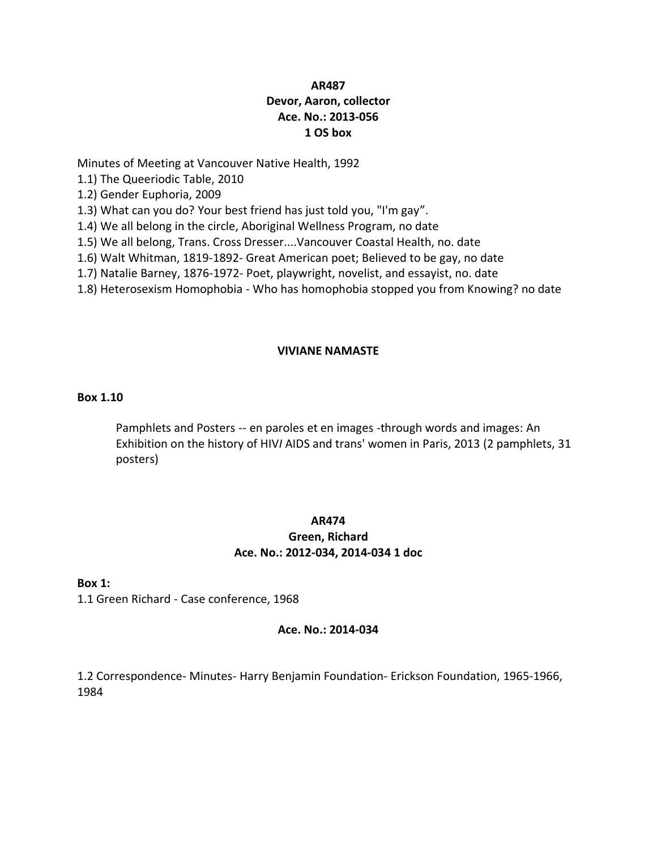### **AR487 Devor, Aaron, collector Ace. No.: 2013-056 1 OS box**

Minutes of Meeting at Vancouver Native Health, 1992

1.1) The Queeriodic Table, 2010

1.2) Gender Euphoria, 2009

1.3) What can you do? Your best friend has just told you, "I'm gay".

1.4) We all belong in the circle, Aboriginal Wellness Program, no date

1.5) We all belong, Trans. Cross Dresser....Vancouver Coastal Health, no. date

1.6) Walt Whitman, 1819-1892- Great American poet; Believed to be gay, no date

1.7) Natalie Barney, 1876-1972- Poet, playwright, novelist, and essayist, no. date

1.8) Heterosexism Homophobia - Who has homophobia stopped you from Knowing? no date

#### **VIVIANE NAMASTE**

#### **Box 1.10**

Pamphlets and Posters -- en paroles et en images -through words and images: An Exhibition on the history of HIV*I* AIDS and trans' women in Paris, 2013 (2 pamphlets, 31 posters)

#### **AR474**

# **Green, Richard Ace. No.: 2012-034, 2014-034 1 doc**

#### **Box 1:**

1.1 Green Richard - Case conference, 1968

#### **Ace. No.: 2014-034**

1.2 Correspondence- Minutes- Harry Benjamin Foundation- Erickson Foundation, 1965-1966, 1984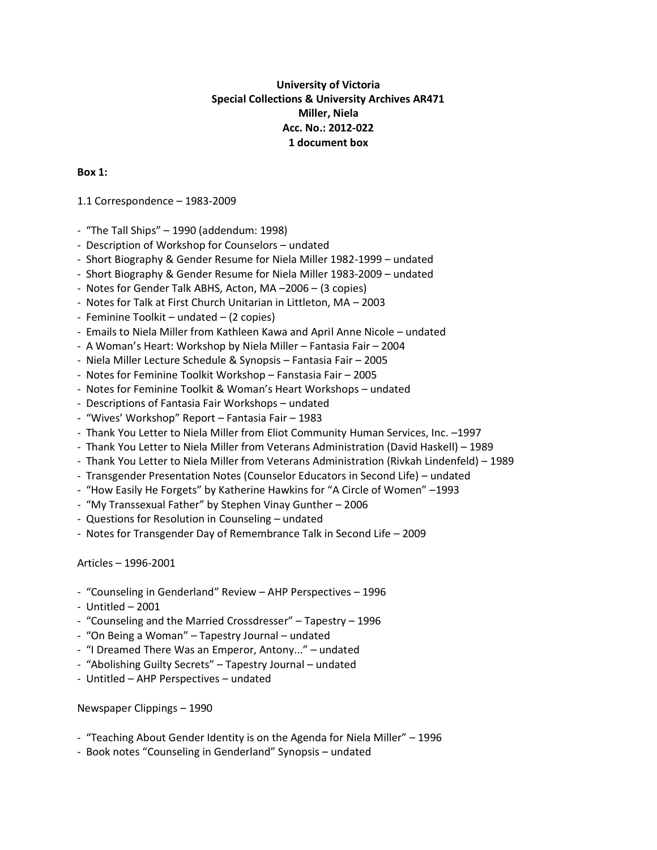### **University of Victoria Special Collections & University Archives AR471 Miller, Niela Acc. No.: 2012-022 1 document box**

#### **Box 1:**

1.1 Correspondence – 1983-2009

- "The Tall Ships" 1990 (addendum: 1998)
- Description of Workshop for Counselors undated
- Short Biography & Gender Resume for Niela Miller 1982-1999 undated
- Short Biography & Gender Resume for Niela Miller 1983-2009 undated
- Notes for Gender Talk ABHS, Acton, MA –2006 (3 copies)
- Notes for Talk at First Church Unitarian in Littleton, MA 2003
- Feminine Toolkit undated (2 copies)
- Emails to Niela Miller from Kathleen Kawa and April Anne Nicole undated
- A Woman's Heart: Workshop by Niela Miller Fantasia Fair 2004
- Niela Miller Lecture Schedule & Synopsis Fantasia Fair 2005
- Notes for Feminine Toolkit Workshop Fanstasia Fair 2005
- Notes for Feminine Toolkit & Woman's Heart Workshops undated
- Descriptions of Fantasia Fair Workshops undated
- "Wives' Workshop" Report Fantasia Fair 1983
- Thank You Letter to Niela Miller from Eliot Community Human Services, Inc. –1997
- Thank You Letter to Niela Miller from Veterans Administration (David Haskell) 1989
- Thank You Letter to Niela Miller from Veterans Administration (Rivkah Lindenfeld) 1989
- Transgender Presentation Notes (Counselor Educators in Second Life) undated
- "How Easily He Forgets" by Katherine Hawkins for "A Circle of Women" –1993
- "My Transsexual Father" by Stephen Vinay Gunther 2006
- Questions for Resolution in Counseling undated
- Notes for Transgender Day of Remembrance Talk in Second Life 2009

Articles – 1996-2001

- "Counseling in Genderland" Review AHP Perspectives 1996
- Untitled 2001
- "Counseling and the Married Crossdresser" Tapestry 1996
- "On Being a Woman" Tapestry Journal undated
- "I Dreamed There Was an Emperor, Antony..." undated
- "Abolishing Guilty Secrets" Tapestry Journal undated
- Untitled AHP Perspectives undated

Newspaper Clippings – 1990

- "Teaching About Gender Identity is on the Agenda for Niela Miller" 1996
- Book notes "Counseling in Genderland" Synopsis undated